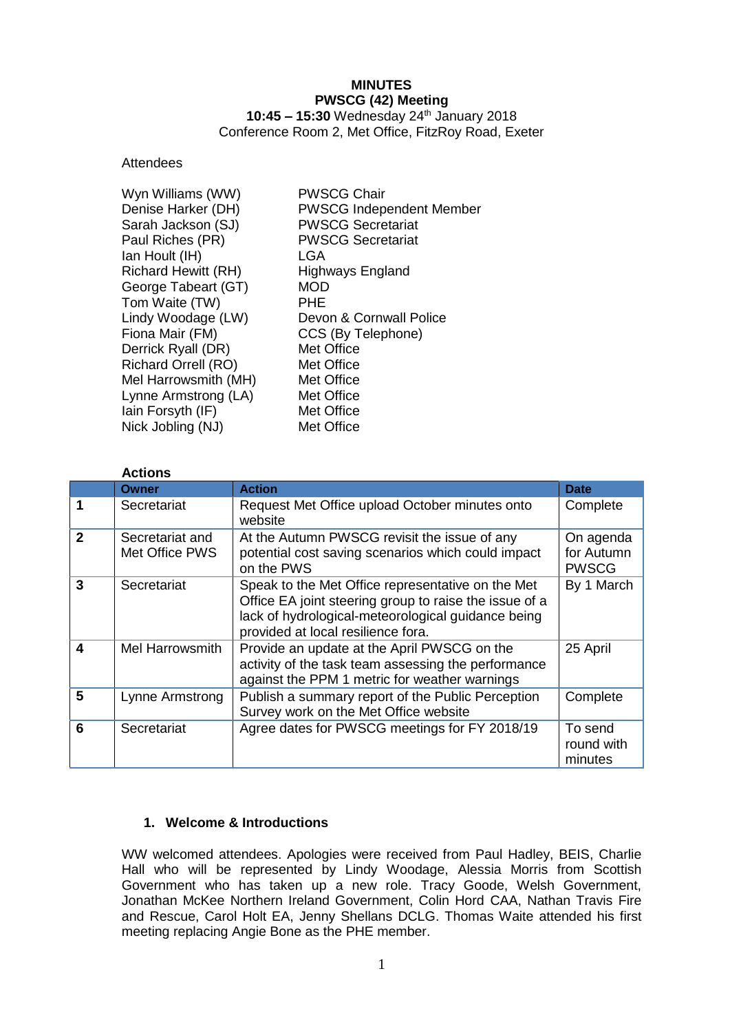# **MINUTES PWSCG (42) Meeting**

**10:45 – 15:30** Wednesday 24th January 2018 Conference Room 2, Met Office, FitzRoy Road, Exeter

#### **Attendees**

| Wyn Williams (WW)          | <b>PWSCG Chair</b>              |
|----------------------------|---------------------------------|
| Denise Harker (DH)         | <b>PWSCG Independent Member</b> |
| Sarah Jackson (SJ)         | <b>PWSCG Secretariat</b>        |
| Paul Riches (PR)           | <b>PWSCG Secretariat</b>        |
| Ian Hoult (IH)             | LGA                             |
| <b>Richard Hewitt (RH)</b> | Highways England                |
| George Tabeart (GT)        | <b>MOD</b>                      |
| Tom Waite (TW)             | <b>PHE</b>                      |
| Lindy Woodage (LW)         | Devon & Cornwall Police         |
| Fiona Mair (FM)            | CCS (By Telephone)              |
| Derrick Ryall (DR)         | Met Office                      |
| Richard Orrell (RO)        | Met Office                      |
| Mel Harrowsmith (MH)       | Met Office                      |
| Lynne Armstrong (LA)       | Met Office                      |
| lain Forsyth (IF)          | Met Office                      |
| Nick Jobling (NJ)          | Met Office                      |
|                            |                                 |

|              | <b>Actions</b>                    |                                                                                                                                                                                                         |                                         |
|--------------|-----------------------------------|---------------------------------------------------------------------------------------------------------------------------------------------------------------------------------------------------------|-----------------------------------------|
|              | <b>Owner</b>                      | <b>Action</b>                                                                                                                                                                                           | <b>Date</b>                             |
| 1            | Secretariat                       | Request Met Office upload October minutes onto<br>website                                                                                                                                               | Complete                                |
| $\mathbf{2}$ | Secretariat and<br>Met Office PWS | At the Autumn PWSCG revisit the issue of any<br>potential cost saving scenarios which could impact<br>on the PWS                                                                                        | On agenda<br>for Autumn<br><b>PWSCG</b> |
| 3            | Secretariat                       | Speak to the Met Office representative on the Met<br>Office EA joint steering group to raise the issue of a<br>lack of hydrological-meteorological guidance being<br>provided at local resilience fora. | By 1 March                              |
| 4            | <b>Mel Harrowsmith</b>            | Provide an update at the April PWSCG on the<br>activity of the task team assessing the performance<br>against the PPM 1 metric for weather warnings                                                     | 25 April                                |
| 5            | Lynne Armstrong                   | Publish a summary report of the Public Perception<br>Survey work on the Met Office website                                                                                                              | Complete                                |
| 6            | Secretariat                       | Agree dates for PWSCG meetings for FY 2018/19                                                                                                                                                           | To send<br>round with<br>minutes        |

#### **1. Welcome & Introductions**

WW welcomed attendees. Apologies were received from Paul Hadley, BEIS, Charlie Hall who will be represented by Lindy Woodage, Alessia Morris from Scottish Government who has taken up a new role. Tracy Goode, Welsh Government, Jonathan McKee Northern Ireland Government, Colin Hord CAA, Nathan Travis Fire and Rescue, Carol Holt EA, Jenny Shellans DCLG. Thomas Waite attended his first meeting replacing Angie Bone as the PHE member.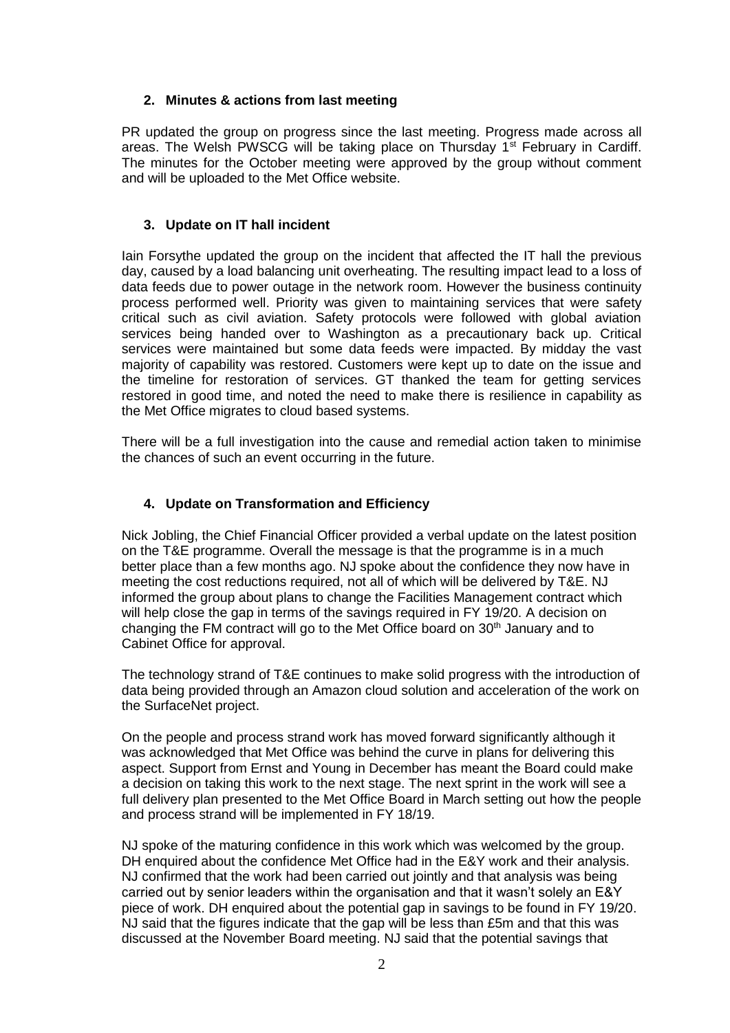### **2. Minutes & actions from last meeting**

PR updated the group on progress since the last meeting. Progress made across all areas. The Welsh PWSCG will be taking place on Thursday  $1<sup>st</sup>$  February in Cardiff. The minutes for the October meeting were approved by the group without comment and will be uploaded to the Met Office website.

#### **3. Update on IT hall incident**

Iain Forsythe updated the group on the incident that affected the IT hall the previous day, caused by a load balancing unit overheating. The resulting impact lead to a loss of data feeds due to power outage in the network room. However the business continuity process performed well. Priority was given to maintaining services that were safety critical such as civil aviation. Safety protocols were followed with global aviation services being handed over to Washington as a precautionary back up. Critical services were maintained but some data feeds were impacted. By midday the vast majority of capability was restored. Customers were kept up to date on the issue and the timeline for restoration of services. GT thanked the team for getting services restored in good time, and noted the need to make there is resilience in capability as the Met Office migrates to cloud based systems.

There will be a full investigation into the cause and remedial action taken to minimise the chances of such an event occurring in the future.

### **4. Update on Transformation and Efficiency**

Nick Jobling, the Chief Financial Officer provided a verbal update on the latest position on the T&E programme. Overall the message is that the programme is in a much better place than a few months ago. NJ spoke about the confidence they now have in meeting the cost reductions required, not all of which will be delivered by T&E. NJ informed the group about plans to change the Facilities Management contract which will help close the gap in terms of the savings required in FY 19/20. A decision on changing the FM contract will go to the Met Office board on  $30<sup>th</sup>$  January and to Cabinet Office for approval.

The technology strand of T&E continues to make solid progress with the introduction of data being provided through an Amazon cloud solution and acceleration of the work on the SurfaceNet project.

On the people and process strand work has moved forward significantly although it was acknowledged that Met Office was behind the curve in plans for delivering this aspect. Support from Ernst and Young in December has meant the Board could make a decision on taking this work to the next stage. The next sprint in the work will see a full delivery plan presented to the Met Office Board in March setting out how the people and process strand will be implemented in FY 18/19.

NJ spoke of the maturing confidence in this work which was welcomed by the group. DH enquired about the confidence Met Office had in the E&Y work and their analysis. NJ confirmed that the work had been carried out jointly and that analysis was being carried out by senior leaders within the organisation and that it wasn't solely an E&Y piece of work. DH enquired about the potential gap in savings to be found in FY 19/20. NJ said that the figures indicate that the gap will be less than £5m and that this was discussed at the November Board meeting. NJ said that the potential savings that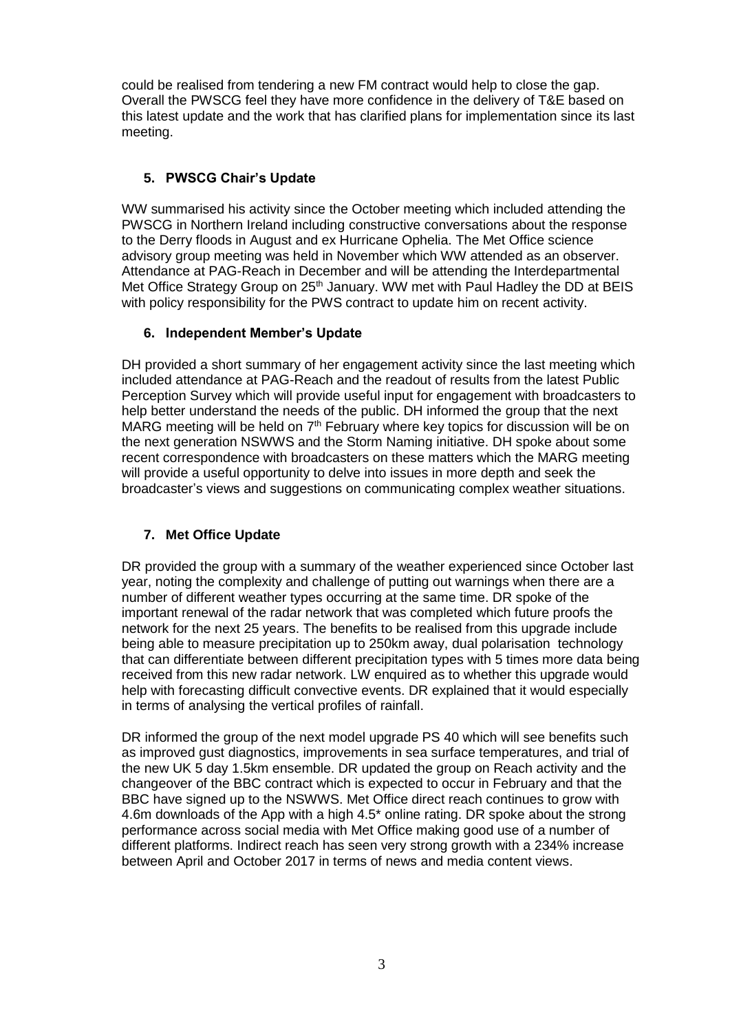could be realised from tendering a new FM contract would help to close the gap. Overall the PWSCG feel they have more confidence in the delivery of T&E based on this latest update and the work that has clarified plans for implementation since its last meeting.

# **5. PWSCG Chair's Update**

WW summarised his activity since the October meeting which included attending the PWSCG in Northern Ireland including constructive conversations about the response to the Derry floods in August and ex Hurricane Ophelia. The Met Office science advisory group meeting was held in November which WW attended as an observer. Attendance at PAG-Reach in December and will be attending the Interdepartmental Met Office Strategy Group on 25<sup>th</sup> January. WW met with Paul Hadley the DD at BEIS with policy responsibility for the PWS contract to update him on recent activity.

# **6. Independent Member's Update**

DH provided a short summary of her engagement activity since the last meeting which included attendance at PAG-Reach and the readout of results from the latest Public Perception Survey which will provide useful input for engagement with broadcasters to help better understand the needs of the public. DH informed the group that the next MARG meeting will be held on  $7<sup>th</sup>$  February where key topics for discussion will be on the next generation NSWWS and the Storm Naming initiative. DH spoke about some recent correspondence with broadcasters on these matters which the MARG meeting will provide a useful opportunity to delve into issues in more depth and seek the broadcaster's views and suggestions on communicating complex weather situations.

# **7. Met Office Update**

DR provided the group with a summary of the weather experienced since October last year, noting the complexity and challenge of putting out warnings when there are a number of different weather types occurring at the same time. DR spoke of the important renewal of the radar network that was completed which future proofs the network for the next 25 years. The benefits to be realised from this upgrade include being able to measure precipitation up to 250km away, dual polarisation technology that can differentiate between different precipitation types with 5 times more data being received from this new radar network. LW enquired as to whether this upgrade would help with forecasting difficult convective events. DR explained that it would especially in terms of analysing the vertical profiles of rainfall.

DR informed the group of the next model upgrade PS 40 which will see benefits such as improved gust diagnostics, improvements in sea surface temperatures, and trial of the new UK 5 day 1.5km ensemble. DR updated the group on Reach activity and the changeover of the BBC contract which is expected to occur in February and that the BBC have signed up to the NSWWS. Met Office direct reach continues to grow with 4.6m downloads of the App with a high 4.5\* online rating. DR spoke about the strong performance across social media with Met Office making good use of a number of different platforms. Indirect reach has seen very strong growth with a 234% increase between April and October 2017 in terms of news and media content views.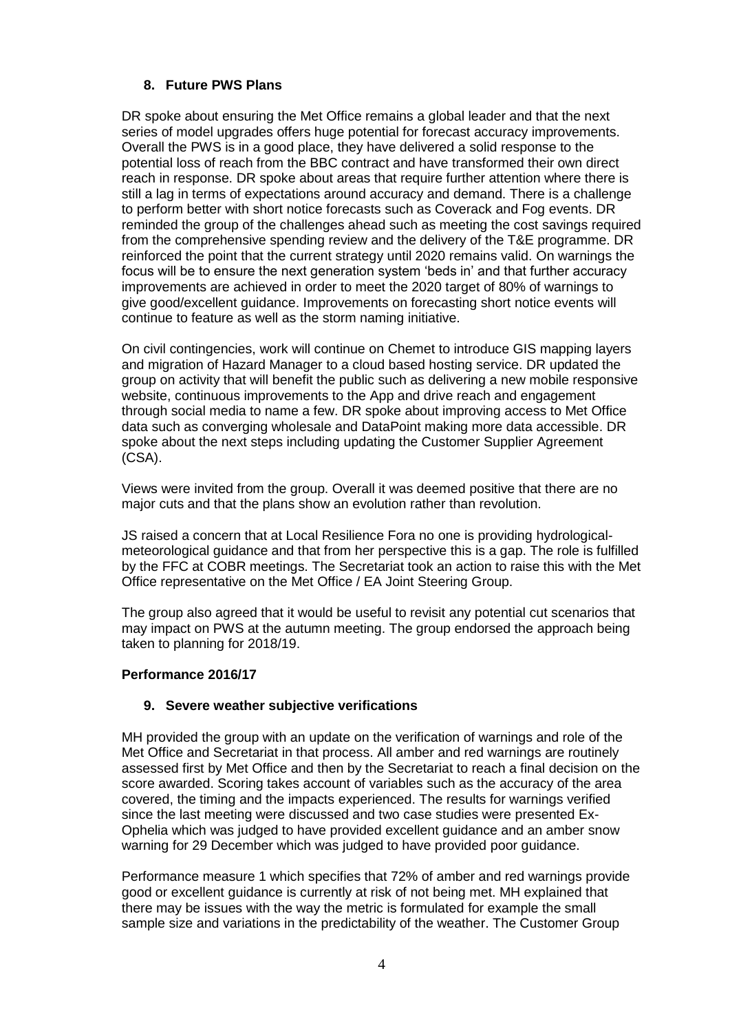# **8. Future PWS Plans**

DR spoke about ensuring the Met Office remains a global leader and that the next series of model upgrades offers huge potential for forecast accuracy improvements. Overall the PWS is in a good place, they have delivered a solid response to the potential loss of reach from the BBC contract and have transformed their own direct reach in response. DR spoke about areas that require further attention where there is still a lag in terms of expectations around accuracy and demand. There is a challenge to perform better with short notice forecasts such as Coverack and Fog events. DR reminded the group of the challenges ahead such as meeting the cost savings required from the comprehensive spending review and the delivery of the T&E programme. DR reinforced the point that the current strategy until 2020 remains valid. On warnings the focus will be to ensure the next generation system 'beds in' and that further accuracy improvements are achieved in order to meet the 2020 target of 80% of warnings to give good/excellent guidance. Improvements on forecasting short notice events will continue to feature as well as the storm naming initiative.

On civil contingencies, work will continue on Chemet to introduce GIS mapping layers and migration of Hazard Manager to a cloud based hosting service. DR updated the group on activity that will benefit the public such as delivering a new mobile responsive website, continuous improvements to the App and drive reach and engagement through social media to name a few. DR spoke about improving access to Met Office data such as converging wholesale and DataPoint making more data accessible. DR spoke about the next steps including updating the Customer Supplier Agreement (CSA).

Views were invited from the group. Overall it was deemed positive that there are no major cuts and that the plans show an evolution rather than revolution.

JS raised a concern that at Local Resilience Fora no one is providing hydrologicalmeteorological guidance and that from her perspective this is a gap. The role is fulfilled by the FFC at COBR meetings. The Secretariat took an action to raise this with the Met Office representative on the Met Office / EA Joint Steering Group.

The group also agreed that it would be useful to revisit any potential cut scenarios that may impact on PWS at the autumn meeting. The group endorsed the approach being taken to planning for 2018/19.

# **Performance 2016/17**

# **9. Severe weather subjective verifications**

MH provided the group with an update on the verification of warnings and role of the Met Office and Secretariat in that process. All amber and red warnings are routinely assessed first by Met Office and then by the Secretariat to reach a final decision on the score awarded. Scoring takes account of variables such as the accuracy of the area covered, the timing and the impacts experienced. The results for warnings verified since the last meeting were discussed and two case studies were presented Ex-Ophelia which was judged to have provided excellent guidance and an amber snow warning for 29 December which was judged to have provided poor guidance.

Performance measure 1 which specifies that 72% of amber and red warnings provide good or excellent guidance is currently at risk of not being met. MH explained that there may be issues with the way the metric is formulated for example the small sample size and variations in the predictability of the weather. The Customer Group